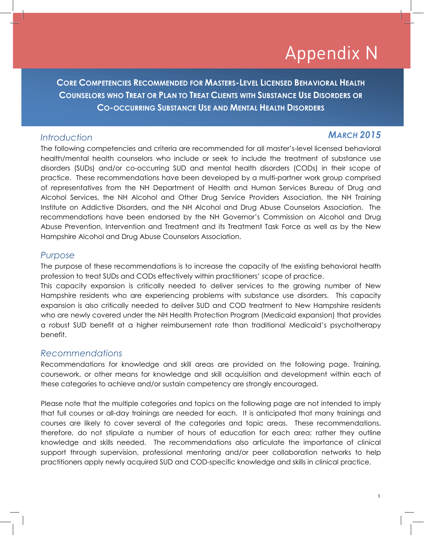# Appendix N

**CORE COMPETENCIES RECOMMENDED FOR MASTERS-LEVEL LICENSED BEHAVIORAL HEALTH COUNSELORS WHO TREAT OR PLAN TO TREAT CLIENTS WITH SUBSTANCE USE DISORDERS OR CO-OCCURRING SUBSTANCE USE AND MENTAL HEALTH DISORDERS**

### *Introduction MARCH 2015*

The following competencies and criteria are recommended for all master's-level licensed behavioral health/mental health counselors who include or seek to include the treatment of substance use disorders (SUDs) and/or co-occurring SUD and mental health disorders (CODs) in their scope of practice. These recommendations have been developed by a multi-partner work group comprised of representatives from the NH Department of Health and Human Services Bureau of Drug and Alcohol Services, the NH Alcohol and Other Drug Service Providers Association, the NH Training Institute on Addictive Disorders, and the NH Alcohol and Drug Abuse Counselors Association. The recommendations have been endorsed by the NH Governor's Commission on Alcohol and Drug Abuse Prevention, Intervention and Treatment and its Treatment Task Force as well as by the New Hampshire Alcohol and Drug Abuse Counselors Association.

### *Purpose*

The purpose of these recommendations is to increase the capacity of the existing behavioral health profession to treat SUDs and CODs effectively within practitioners' scope of practice.

This capacity expansion is critically needed to deliver services to the growing number of New Hampshire residents who are experiencing problems with substance use disorders. This capacity expansion is also critically needed to deliver SUD and COD treatment to New Hampshire residents who are newly covered under the NH Health Protection Program (Medicaid expansion) that provides a robust SUD benefit at a higher reimbursement rate than traditional Medicaid's psychotherapy benefit.

### *Recommendations*

Recommendations for knowledge and skill areas are provided on the following page. Training, coursework, or other means for knowledge and skill acquisition and development within each of these categories to achieve and/or sustain competency are strongly encouraged.

Please note that the multiple categories and topics on the following page are not intended to imply that full courses or all-day trainings are needed for each. It is anticipated that many trainings and courses are likely to cover several of the categories and topic areas. These recommendations, therefore, do not stipulate a number of hours of education for each area; rather they outline knowledge and skills needed. The recommendations also articulate the importance of clinical support through supervision, professional mentoring and/or peer collaboration networks to help practitioners apply newly acquired SUD and COD-specific knowledge and skills in clinical practice.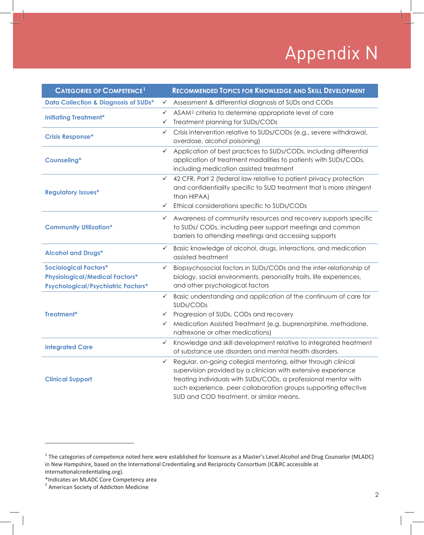# Appendix N

| <b>CATEGORIES OF COMPETENCE<sup>1</sup></b>                                                                        | <b>RECOMMENDED TOPICS FOR KNOWLEDGE AND SKILL DEVELOPMENT</b>                                                                                                                                                                                                                                                          |  |
|--------------------------------------------------------------------------------------------------------------------|------------------------------------------------------------------------------------------------------------------------------------------------------------------------------------------------------------------------------------------------------------------------------------------------------------------------|--|
| <b>Data Collection &amp; Diagnosis of SUDs*</b>                                                                    | Assessment & differential diagnosis of SUDs and CODs                                                                                                                                                                                                                                                                   |  |
| <b>Initiating Treatment*</b>                                                                                       | ASAM <sup>2</sup> criteria to determine appropriate level of care<br>✓<br>Treatment planning for SUDs/CODs<br>✓                                                                                                                                                                                                        |  |
| <b>Crisis Response*</b>                                                                                            | Crisis intervention relative to SUDs/CODs (e.g., severe withdrawal,<br>✓<br>overdose, alcohol poisoning)                                                                                                                                                                                                               |  |
| <b>Counseling*</b>                                                                                                 | Application of best practices to SUDs/CODs, including differential<br>$\checkmark$<br>application of treatment modalities to patients with SUDs/CODs,<br>including medication assisted treatment                                                                                                                       |  |
| <b>Regulatory Issues*</b>                                                                                          | 42 CFR, Part 2 (federal law relative to patient privacy protection<br>✓<br>and confidentiality specific to SUD treatment that is more stringent<br>than HIPAA)<br>Ethical considerations specific to SUDs/CODs<br>$\checkmark$                                                                                         |  |
| <b>Community Utilization*</b>                                                                                      | Awareness of community resources and recovery supports specific<br>$\checkmark$<br>to SUDs/ CODs, including peer support meetings and common<br>barriers to attending meetings and accessing supports                                                                                                                  |  |
| <b>Alcohol and Drugs*</b>                                                                                          | Basic knowledge of alcohol, drugs, interactions, and medication<br>✓<br>assisted treatment                                                                                                                                                                                                                             |  |
| <b>Sociological Factors*</b><br><b>Physiological/Medical Factors*</b><br><b>Psychological/Psychiatric Factors*</b> | Biopsychosocial factors in SUDs/CODs and the inter-relationship of<br>biology, social environments, personality traits, life experiences,<br>and other psychological factors                                                                                                                                           |  |
| Treatment*                                                                                                         | Basic understanding and application of the continuum of care for<br>✓<br>SUDs/CODs                                                                                                                                                                                                                                     |  |
|                                                                                                                    | Progression of SUDs, CODs and recovery<br>✓                                                                                                                                                                                                                                                                            |  |
|                                                                                                                    | Medication Assisted Treatment (e.g. buprenorphine, methadone,<br>✓<br>naltrexone or other medications)                                                                                                                                                                                                                 |  |
| <b>Integrated Care</b>                                                                                             | Knowledge and skill development relative to integrated treatment<br>✓<br>of substance use disorders and mental health disorders.                                                                                                                                                                                       |  |
| <b>Clinical Support</b>                                                                                            | Regular, on-going collegial mentoring, either through clinical<br>✓<br>supervision provided by a clinician with extensive experience<br>treating individuals with SUDs/CODs, a professional mentor with<br>such experience, peer collaboration groups supporting effective<br>SUD and COD treatment, or similar means. |  |

<sup>&</sup>lt;sup>1</sup> The categories of competence noted here were established for licensure as a Master's Level Alcohol and Drug Counselor (MLADC) in New Hampshire, based on the International Credentialing and Reciprocity Consortium (IC&RC accessible at internationalcredentialing.org).<br>\*Indicates an MLADC Core Competency area

<sup>\*</sup>Indicates an MLADC Core Competency area<br><sup>2</sup> American Society of Addiction Medicine